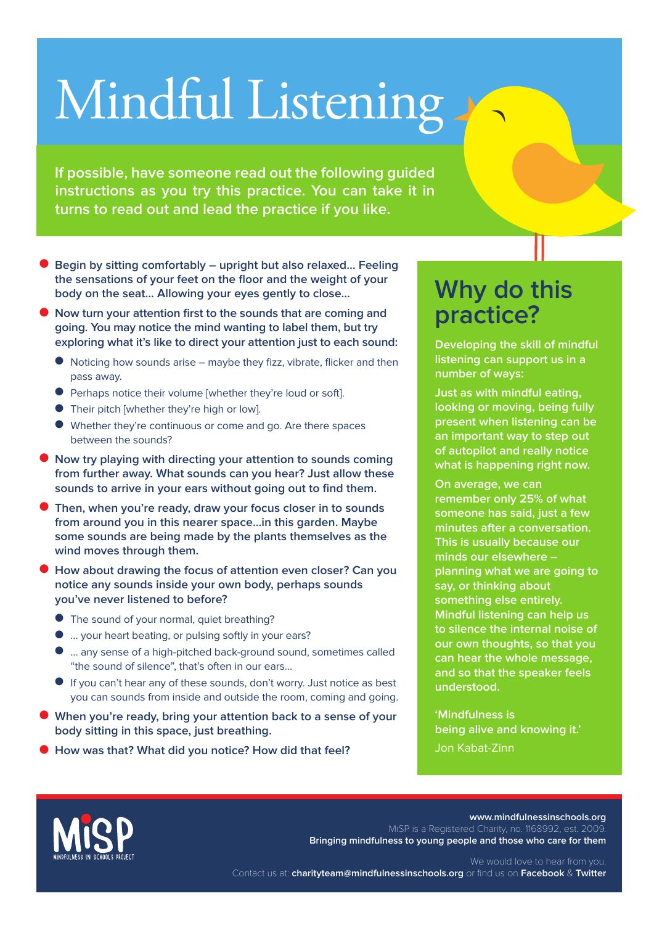## Mindful Listening

**If possible, have someone read out the following guided instructions as you try this practice. You can take it in turns to read out and lead the practice if you like.**

- Begin by sitting comfortably upright but also relaxed... Feeling **the sensations of your feet on the floor and the weight of your body on the seat… Allowing your eyes gently to close…**
- **Now turn your attention first to the sounds that are coming and going. You may notice the mind wanting to label them, but try exploring what it's like to direct your attention just to each sound:**
	- Noticing how sounds arise maybe they fizz, vibrate, flicker and then pass away.
	- Perhaps notice their volume [whether they're loud or soft].
	- Their pitch [whether they're high or low].
	- Whether they're continuous or come and go. Are there spaces between the sounds?
- **Now try playing with directing your attention to sounds coming from further away. What sounds can you hear? Just allow these sounds to arrive in your ears without going out to find them.**
- **Then, when you're ready, draw your focus closer in to sounds from around you in this nearer space...in this garden. Maybe some sounds are being made by the plants themselves as the wind moves through them.**
- **How about drawing the focus of attention even closer? Can you notice any sounds inside your own body, perhaps sounds you've never listened to before?**
	- The sound of your normal, quiet breathing?
	- ... your heart beating, or pulsing softly in your ears?
	- ... any sense of a high-pitched back-ground sound, sometimes called "the sound of silence", that's often in our ears…
	- If you can't hear any of these sounds, don't worry. Just notice as best you can sounds from inside and outside the room, coming and going.
- **When you're ready, bring your attention back to a sense of your body sitting in this space, just breathing.**
- **How was that? What did you notice? How did that feel?**

## **Why do this practice?**

**Developing the skill of mindful listening can support us in a number of ways:**

**Just as with mindful eating, looking or moving, being fully present when listening can be an important way to step out of autopilot and really notice what is happening right now.**

**On average, we can remember only 25% of what someone has said, just a few minutes after a conversation. This is usually because our minds our elsewhere – planning what we are going to say, or thinking about something else entirely. Mindful listening can help us to silence the internal noise of our own thoughts, so that you can hear the whole message, and so that the speaker feels understood.**

**'Mindfulness is being alive and knowing it.'** Jon Kabat-Zinn



**www.mindfulnessinschools.org** MiSP is a Registered Charity, no. 1168992, est. 2009. **Bringing mindfulness to young people and those who care for them**

We would love to hear from you. Contact us at: **charityteam@mindfulnessinschools.org** or find us on **Facebook** & **Twitter**